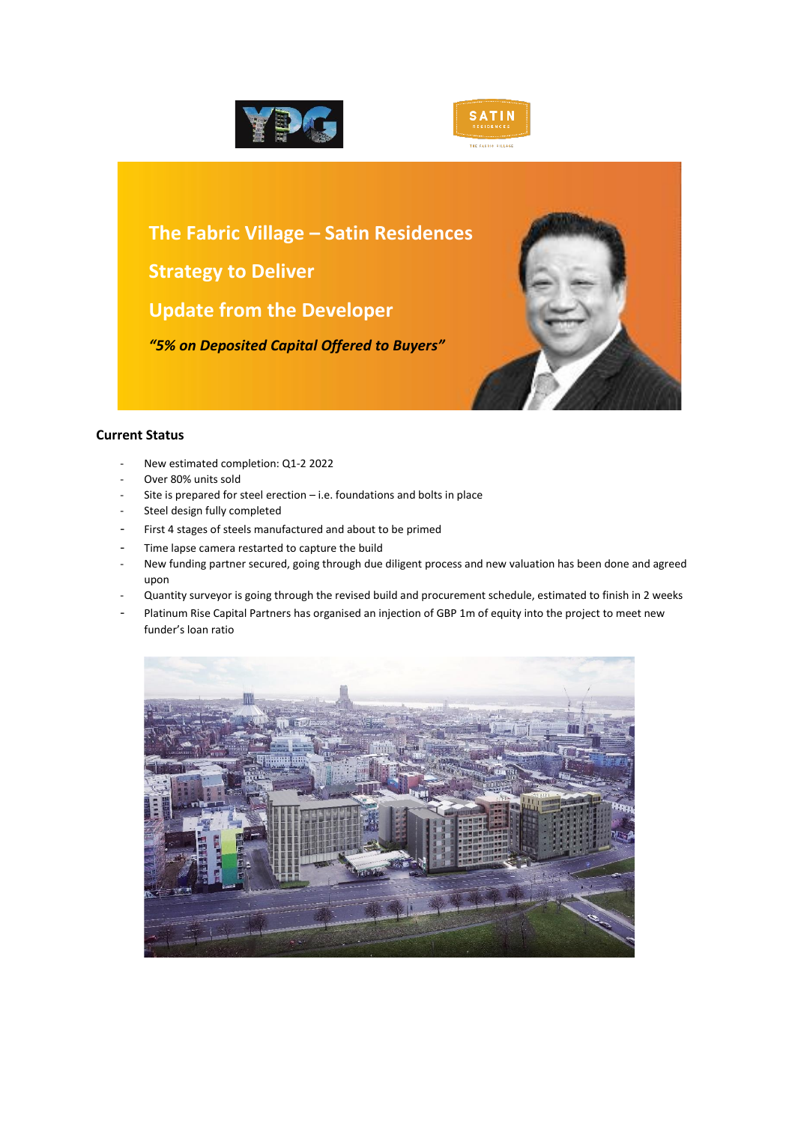



**The Fabric Village – Satin Residences Strategy to Deliver Update from the Developer** *"5% on Deposited Capital Offered to Buyers"*



## **Current Status**

- New estimated completion: Q1-2 2022
- Over 80% units sold
- Site is prepared for steel erection  $-$  i.e. foundations and bolts in place
- Steel design fully completed
- First 4 stages of steels manufactured and about to be primed
- Time lapse camera restarted to capture the build
- New funding partner secured, going through due diligent process and new valuation has been done and agreed upon
- Quantity surveyor is going through the revised build and procurement schedule, estimated to finish in 2 weeks
- Platinum Rise Capital Partners has organised an injection of GBP 1m of equity into the project to meet new funder's loan ratio

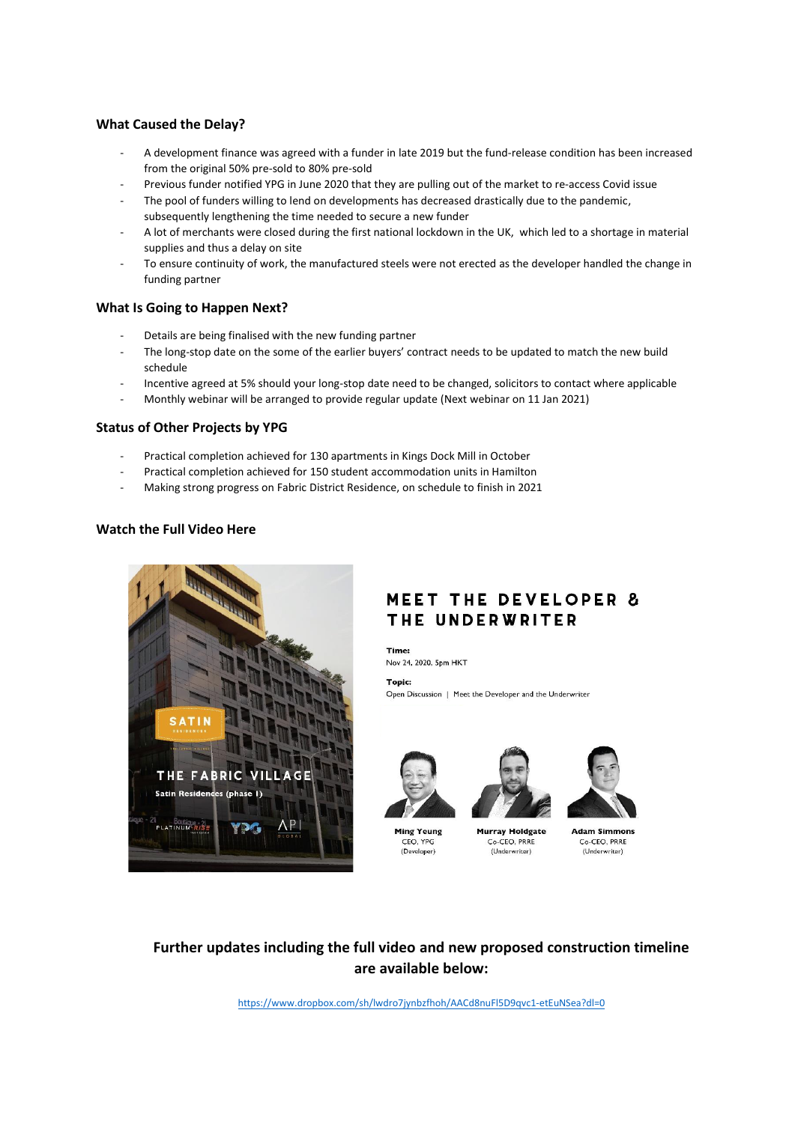#### **What Caused the Delay?**

- A development finance was agreed with a funder in late 2019 but the fund-release condition has been increased from the original 50% pre-sold to 80% pre-sold
- Previous funder notified YPG in June 2020 that they are pulling out of the market to re-access Covid issue
- The pool of funders willing to lend on developments has decreased drastically due to the pandemic, subsequently lengthening the time needed to secure a new funder
- A lot of merchants were closed during the first national lockdown in the UK, which led to a shortage in material supplies and thus a delay on site
- To ensure continuity of work, the manufactured steels were not erected as the developer handled the change in funding partner

#### **What Is Going to Happen Next?**

- Details are being finalised with the new funding partner
- The long-stop date on the some of the earlier buyers' contract needs to be updated to match the new build schedule
- Incentive agreed at 5% should your long-stop date need to be changed, solicitors to contact where applicable
- Monthly webinar will be arranged to provide regular update (Next webinar on 11 Jan 2021)

#### **Status of Other Projects by YPG**

- Practical completion achieved for 130 apartments in Kings Dock Mill in October
- Practical completion achieved for 150 student accommodation units in Hamilton
- Making strong progress on Fabric District Residence, on schedule to finish in 2021

#### **Watch the Full Video Here**



# **MEET THE DEVELOPER &** THE UNDERWRITER

Time: Nov 24, 2020, 5pm HKT

Topic:

Open Discussion | Meet the Developer and the Underwriter



Ming Yeung

CEO, YPG

(Developer)



**Murray Holdgate** 

Co-CEO, PRRE

(Underwriter)



Co-CEO, PRRE (Underwriter)

# **Further updates including the full video and new proposed construction timeline are available below:**

<https://www.dropbox.com/sh/lwdro7jynbzfhoh/AACd8nuFl5D9qvc1-etEuNSea?dl=0>